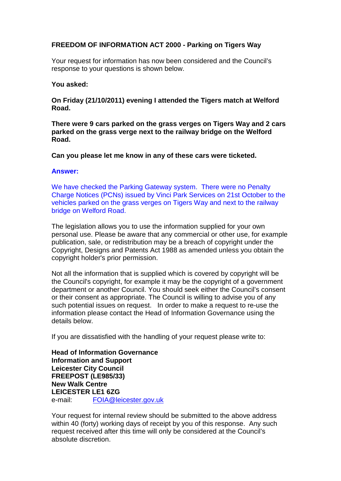## **FREEDOM OF INFORMATION ACT 2000 - Parking on Tigers Way**

Your request for information has now been considered and the Council's response to your questions is shown below.

## **You asked:**

**On Friday (21/10/2011) evening I attended the Tigers match at Welford Road.**

**There were 9 cars parked on the grass verges on Tigers Way and 2 cars parked on the grass verge next to the railway bridge on the Welford Road.**

**Can you please let me know in any of these cars were ticketed.**

## **Answer:**

We have checked the Parking Gateway system. There were no Penalty Charge Notices (PCNs) issued by Vinci Park Services on 21st October to the vehicles parked on the grass verges on Tigers Way and next to the railway bridge on Welford Road.

The legislation allows you to use the information supplied for your own personal use. Please be aware that any commercial or other use, for example publication, sale, or redistribution may be a breach of copyright under the Copyright, Designs and Patents Act 1988 as amended unless you obtain the copyright holder's prior permission.

Not all the information that is supplied which is covered by copyright will be the Council's copyright, for example it may be the copyright of a government department or another Council. You should seek either the Council's consent or their consent as appropriate. The Council is willing to advise you of any such potential issues on request. In order to make a request to re-use the information please contact the Head of Information Governance using the details below.

If you are dissatisfied with the handling of your request please write to:

**Head of Information Governance Information and Support Leicester City Council FREEPOST (LE985/33) New Walk Centre LEICESTER LE1 6ZG**  e-mail: FOIA@leicester.gov.uk

Your request for internal review should be submitted to the above address within 40 (forty) working days of receipt by you of this response. Any such request received after this time will only be considered at the Council's absolute discretion.